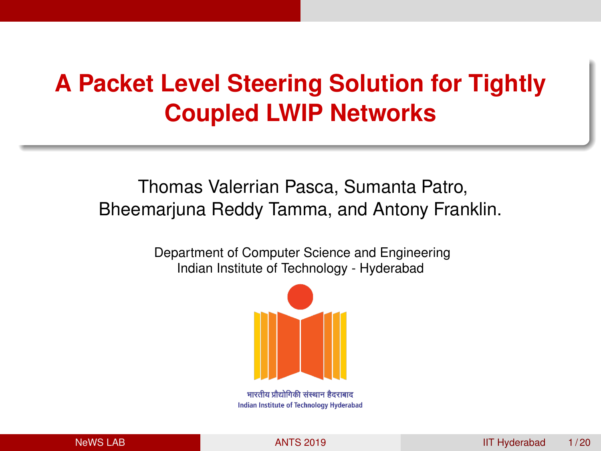# <span id="page-0-0"></span>**A Packet Level Steering Solution for Tightly Coupled LWIP Networks**

# Thomas Valerrian Pasca, Sumanta Patro, Bheemarjuna Reddy Tamma, and Antony Franklin.

Department of Computer Science and Engineering Indian Institute of Technology - Hyderabad



Indian Institute of Technology Hyderabad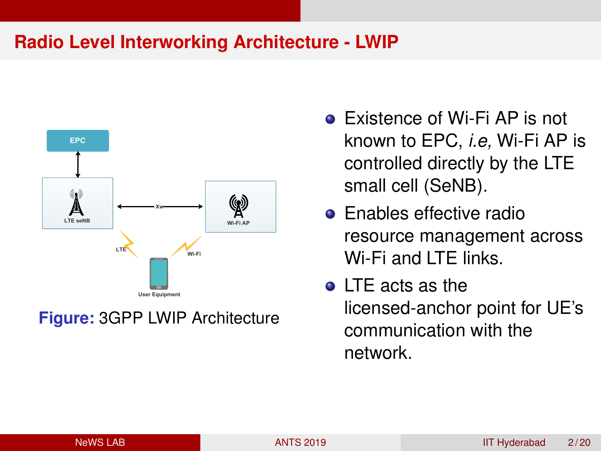### **Radio Level Interworking Architecture - LWIP**



**Figure:** 3GPP LWIP Architecture

- **Existence of Wi-Fi AP is not** known to EPC, *i.e,* Wi-Fi AP is controlled directly by the LTE small cell (SeNB).
- **•** Enables effective radio resource management across Wi-Fi and LTE links.
- LTE acts as the licensed-anchor point for UE's communication with the network.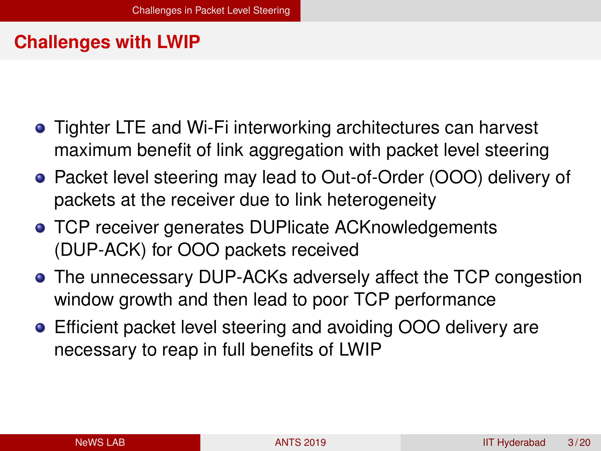#### <span id="page-2-0"></span>**Challenges with LWIP**

- Tighter LTE and Wi-Fi interworking architectures can harvest maximum benefit of link aggregation with packet level steering
- Packet level steering may lead to Out-of-Order (OOO) delivery of packets at the receiver due to link heterogeneity
- **TCP receiver generates DUPlicate ACKnowledgements** (DUP-ACK) for OOO packets received
- The unnecessary DUP-ACKs adversely affect the TCP congestion window growth and then lead to poor TCP performance
- Efficient packet level steering and avoiding OOO delivery are necessary to reap in full benefits of LWIP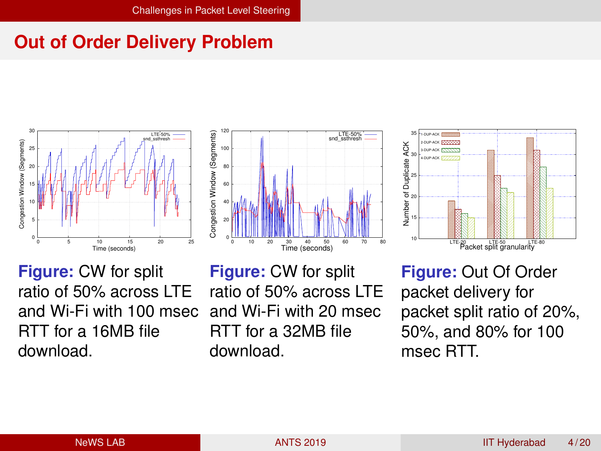# **Out of Order Delivery Problem**







**Figure:** CW for split ratio of 50% across LTE and Wi-Fi with 100 msec RTT for a 16MB file download.

**Figure:** CW for split ratio of 50% across LTE and Wi-Fi with 20 msec RTT for a 32MB file download.

**Figure:** Out Of Order packet delivery for packet split ratio of 20%, 50%, and 80% for 100 msec RTT.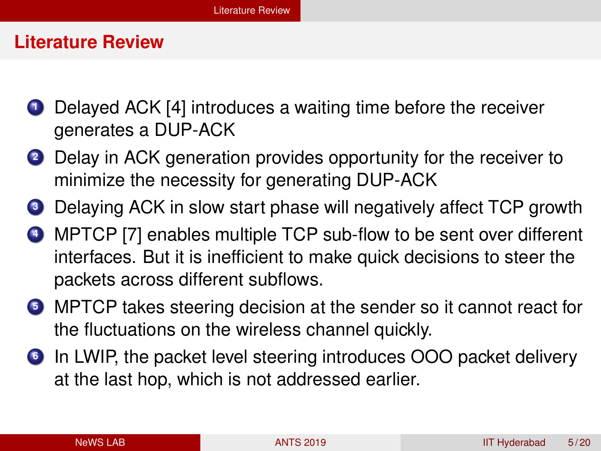#### <span id="page-4-0"></span>**Literature Review**

- **1** Delayed ACK [4] introduces a waiting time before the receiver generates a DUP-ACK
- **<sup>2</sup>** Delay in ACK generation provides opportunity for the receiver to minimize the necessity for generating DUP-ACK
- **<sup>3</sup>** Delaying ACK in slow start phase will negatively affect TCP growth
- **<sup>4</sup>** MPTCP [7] enables multiple TCP sub-flow to be sent over different interfaces. But it is inefficient to make quick decisions to steer the packets across different subflows.
- **<sup>5</sup>** MPTCP takes steering decision at the sender so it cannot react for the fluctuations on the wireless channel quickly.
- **<sup>6</sup>** In LWIP, the packet level steering introduces OOO packet delivery at the last hop, which is not addressed earlier.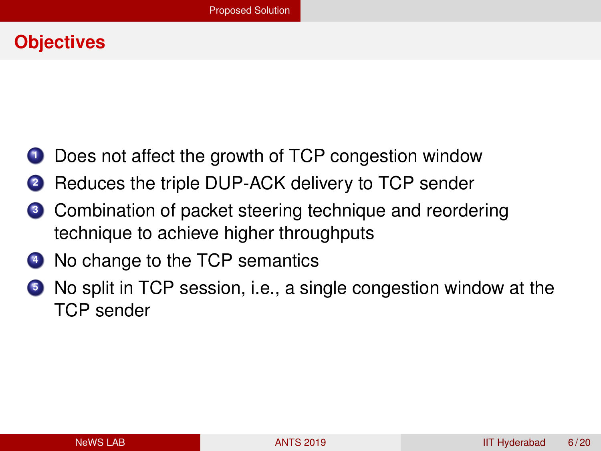#### <span id="page-5-0"></span>**Objectives**

- **1** Does not affect the growth of TCP congestion window
- **<sup>2</sup>** Reduces the triple DUP-ACK delivery to TCP sender
- **<sup>3</sup>** Combination of packet steering technique and reordering technique to achieve higher throughputs
- **4** No change to the TCP semantics
- **<sup>5</sup>** No split in TCP session, i.e., a single congestion window at the TCP sender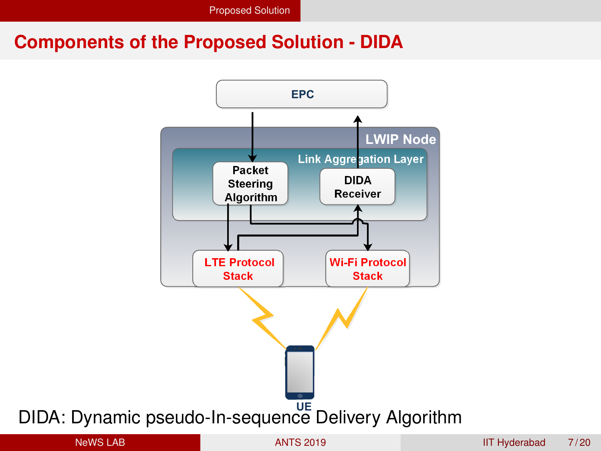### **Components of the Proposed Solution - DIDA**

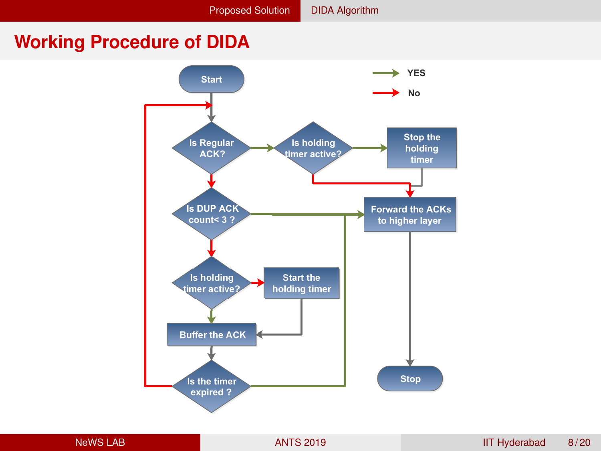#### <span id="page-7-0"></span>**Working Procedure of DIDA**

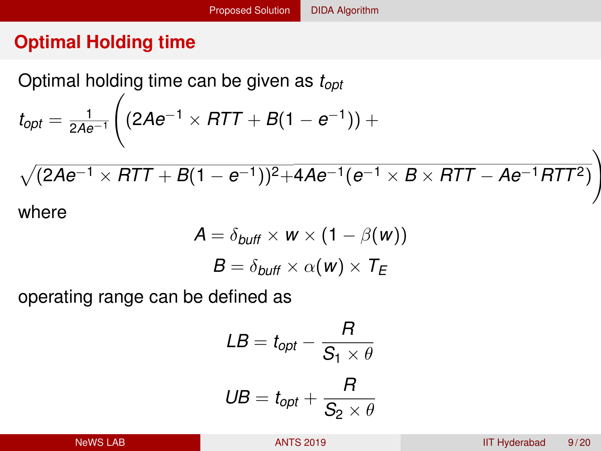# **Optimal Holding time**

Optimal holding time can be given as *topt*  $t_{opt} = \frac{1}{2Ae^{-1}}$  $\sqrt{ }$  $(2Ae^{-1} \times RTT + B(1-e^{-1})) +$ p (2*Ae*−<sup>1</sup> × *RTT* + *B*(1 − *e*−1))2+4*Ae*−1(*e*−<sup>1</sup> × *B* × *RTT* − *Ae*−1*RTT*2) \

where

$$
A = \delta_{\text{buffer}} \times w \times (1 - \beta(w))
$$

$$
B = \delta_{\text{buffer}} \times \alpha(w) \times T_E
$$

operating range can be defined as

$$
LB = t_{opt} - \frac{R}{S_1 \times \theta}
$$

$$
UB = t_{opt} + \frac{R}{S_2 \times \theta}
$$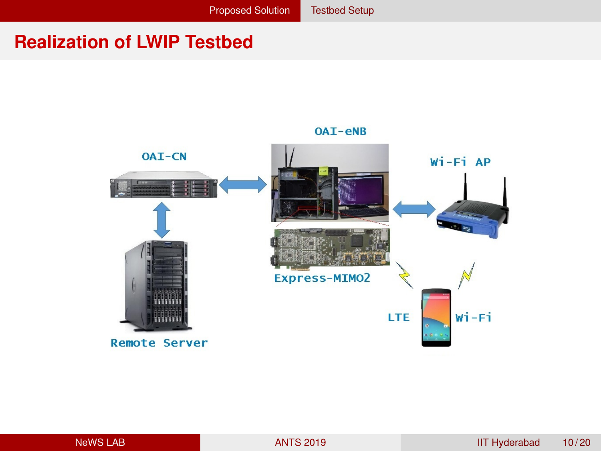# <span id="page-9-0"></span>**Realization of LWIP Testbed**



OAI-eNB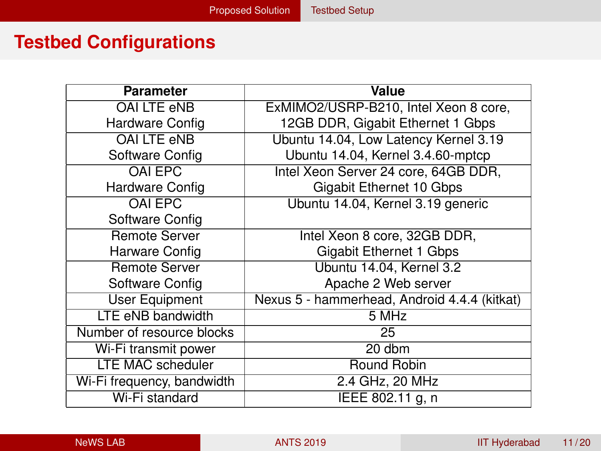# **Testbed Configurations**

| <b>Parameter</b>           | Value                                        |
|----------------------------|----------------------------------------------|
| OAI LTE eNB                | ExMIMO2/USRP-B210, Intel Xeon 8 core,        |
| Hardware Config            | 12GB DDR, Gigabit Ethernet 1 Gbps            |
| OAI LTE eNB                | Ubuntu 14.04, Low Latency Kernel 3.19        |
| Software Config            | Ubuntu 14.04, Kernel 3.4.60-mptcp            |
| <b>OAI EPC</b>             | Intel Xeon Server 24 core, 64GB DDR,         |
| Hardware Config            | Gigabit Ethernet 10 Gbps                     |
| OAI EPC                    | Ubuntu 14.04, Kernel 3.19 generic            |
| Software Config            |                                              |
| <b>Remote Server</b>       | Intel Xeon 8 core, 32GB DDR,                 |
| Harware Config             | Gigabit Ethernet 1 Gbps                      |
| <b>Remote Server</b>       | Ubuntu 14.04, Kernel 3.2                     |
| Software Config            | Apache 2 Web server                          |
| <b>User Equipment</b>      | Nexus 5 - hammerhead, Android 4.4.4 (kitkat) |
| LTE eNB bandwidth          | 5 MHz                                        |
| Number of resource blocks  | 25                                           |
| Wi-Fi transmit power       | 20 dbm                                       |
| <b>LTE MAC scheduler</b>   | Round Robin                                  |
| Wi-Fi frequency, bandwidth | 2.4 GHz, 20 MHz                              |
| Wi-Fi standard             | IEEE 802.11 g, n                             |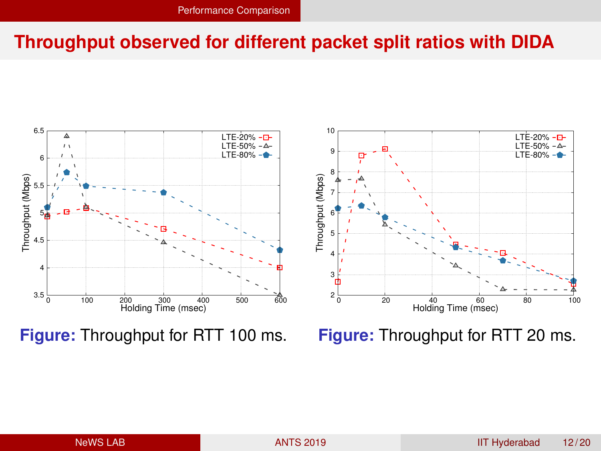# <span id="page-11-0"></span>**Throughput observed for different packet split ratios with DIDA**



**Figure:** Throughput for RTT 100 ms.

**Figure:** Throughput for RTT 20 ms.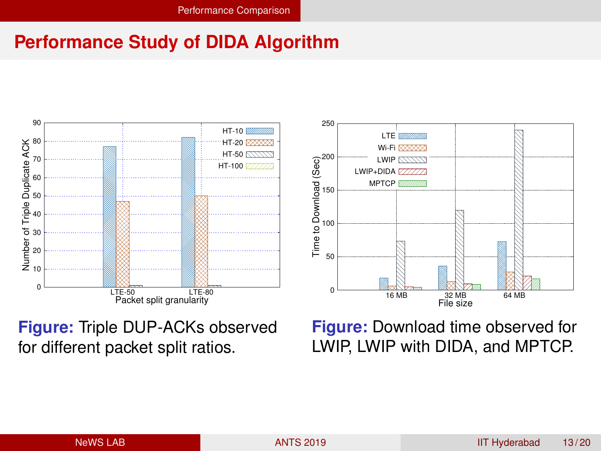## **Performance Study of DIDA Algorithm**





**Figure:** Triple DUP-ACKs observed for different packet split ratios.

**Figure:** Download time observed for LWIP, LWIP with DIDA, and MPTCP.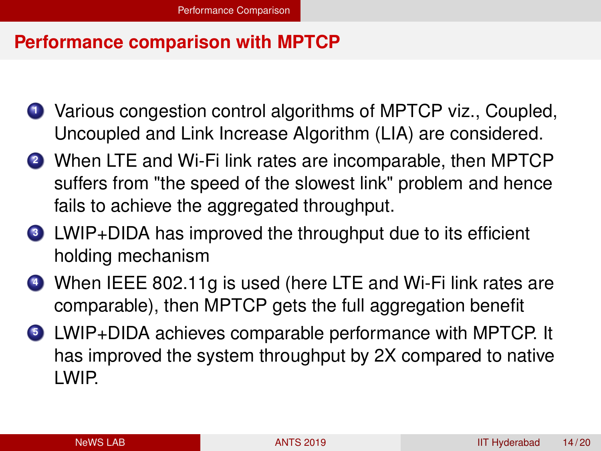#### **Performance comparison with MPTCP**

- **<sup>1</sup>** Various congestion control algorithms of MPTCP viz., Coupled, Uncoupled and Link Increase Algorithm (LIA) are considered.
- **<sup>2</sup>** When LTE and Wi-Fi link rates are incomparable, then MPTCP suffers from "the speed of the slowest link" problem and hence fails to achieve the aggregated throughput.
- **<sup>3</sup>** LWIP+DIDA has improved the throughput due to its efficient holding mechanism
- **<sup>4</sup>** When IEEE 802.11g is used (here LTE and Wi-Fi link rates are comparable), then MPTCP gets the full aggregation benefit
- **<sup>5</sup>** LWIP+DIDA achieves comparable performance with MPTCP. It has improved the system throughput by 2X compared to native LWIP.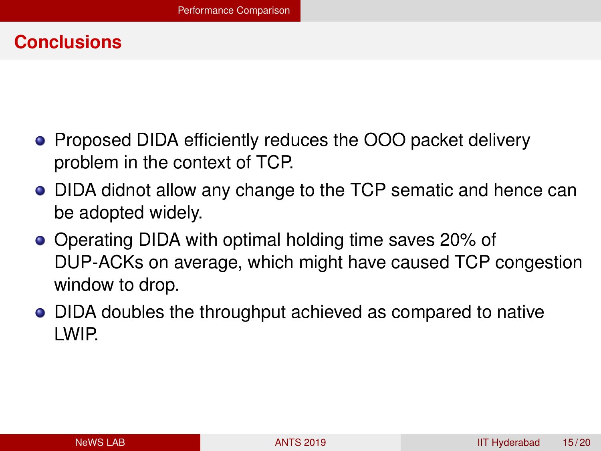## **Conclusions**

- Proposed DIDA efficiently reduces the OOO packet delivery problem in the context of TCP.
- DIDA didnot allow any change to the TCP sematic and hence can be adopted widely.
- Operating DIDA with optimal holding time saves 20% of DUP-ACKs on average, which might have caused TCP congestion window to drop.
- DIDA doubles the throughput achieved as compared to native LWIP.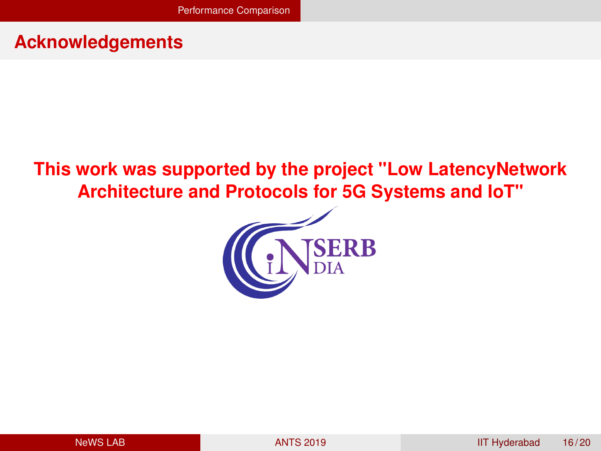# **Acknowledgements**

# **This work was supported by the project "Low LatencyNetwork Architecture and Protocols for 5G Systems and IoT"**

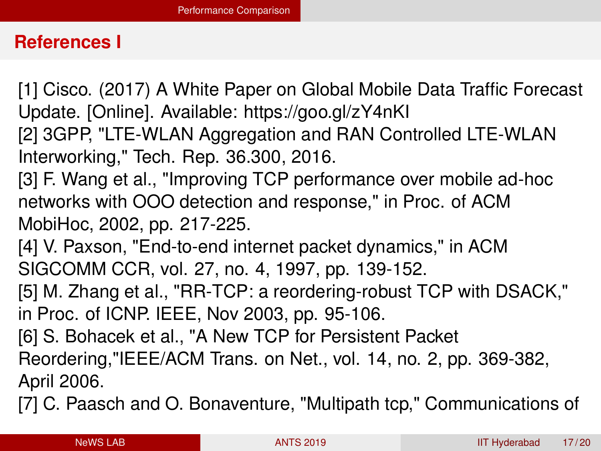#### **References I**

[1] Cisco. (2017) A White Paper on Global Mobile Data Traffic Forecast Update. [Online]. Available: https://goo.gl/zY4nKI [2] 3GPP, "LTE-WLAN Aggregation and RAN Controlled LTE-WLAN Interworking," Tech. Rep. 36.300, 2016. [3] F. Wang et al., "Improving TCP performance over mobile ad-hoc networks with OOO detection and response," in Proc. of ACM MobiHoc, 2002, pp. 217-225. [4] V. Paxson, "End-to-end internet packet dynamics," in ACM SIGCOMM CCR, vol. 27, no. 4, 1997, pp. 139-152. [5] M. Zhang et al., "RR-TCP: a reordering-robust TCP with DSACK," in Proc. of ICNP. IEEE, Nov 2003, pp. 95-106. [6] S. Bohacek et al., "A New TCP for Persistent Packet Reordering,"IEEE/ACM Trans. on Net., vol. 14, no. 2, pp. 369-382, April 2006. [7] C. Paasch and O. Bonaventure, "Multipath tcp," Communications of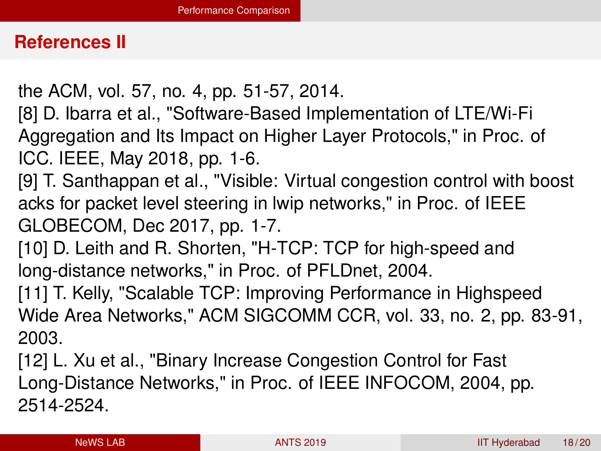#### **References II**

- the ACM, vol. 57, no. 4, pp. 51-57, 2014.
- [8] D. Ibarra et al., "Software-Based Implementation of LTE/Wi-Fi Aggregation and Its Impact on Higher Layer Protocols," in Proc. of ICC. IEEE, May 2018, pp. 1-6.
- [9] T. Santhappan et al., "Visible: Virtual congestion control with boost acks for packet level steering in lwip networks," in Proc. of IEEE GLOBECOM, Dec 2017, pp. 1-7.
- [10] D. Leith and R. Shorten, "H-TCP: TCP for high-speed and long-distance networks," in Proc. of PFLDnet, 2004.
- [11] T. Kelly, "Scalable TCP: Improving Performance in Highspeed Wide Area Networks," ACM SIGCOMM CCR, vol. 33, no. 2, pp. 83-91, 2003.
- [12] L. Xu et al., "Binary Increase Congestion Control for Fast Long-Distance Networks," in Proc. of IEEE INFOCOM, 2004, pp. 2514-2524.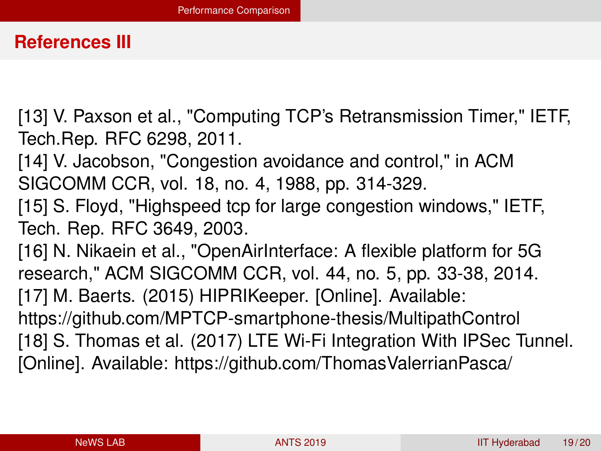#### **References III**

[13] V. Paxson et al., "Computing TCP's Retransmission Timer," IETF, Tech.Rep. RFC 6298, 2011.

[14] V. Jacobson, "Congestion avoidance and control," in ACM SIGCOMM CCR, vol. 18, no. 4, 1988, pp. 314-329.

[15] S. Floyd, "Highspeed tcp for large congestion windows," IETF, Tech. Rep. RFC 3649, 2003.

[16] N. Nikaein et al., "OpenAirInterface: A flexible platform for 5G research," ACM SIGCOMM CCR, vol. 44, no. 5, pp. 33-38, 2014. [17] M. Baerts. (2015) HIPRIKeeper. [Online]. Available: https://github.com/MPTCP-smartphone-thesis/MultipathControl [18] S. Thomas et al. (2017) LTE Wi-Fi Integration With IPSec Tunnel. [Online]. Available: https://github.com/ThomasValerrianPasca/